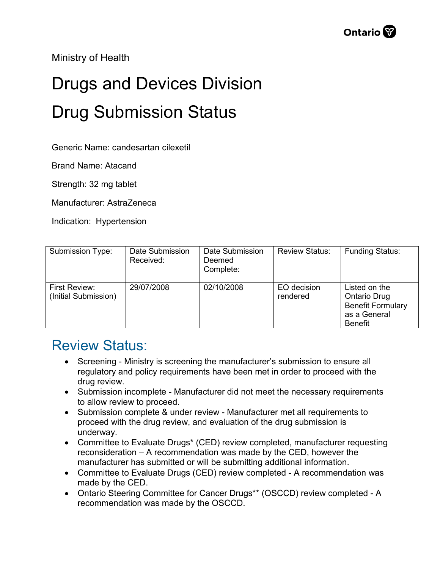Ministry of Health

## Drugs and Devices Division Drug Submission Status

Generic Name: candesartan cilexetil

Brand Name: Atacand

Strength: 32 mg tablet

Manufacturer: AstraZeneca

Indication: Hypertension

| Submission Type:                      | Date Submission<br>Received: | Date Submission<br>Deemed<br>Complete: | <b>Review Status:</b>   | <b>Funding Status:</b>                                                                             |
|---------------------------------------|------------------------------|----------------------------------------|-------------------------|----------------------------------------------------------------------------------------------------|
| First Review:<br>(Initial Submission) | 29/07/2008                   | 02/10/2008                             | EO decision<br>rendered | Listed on the<br><b>Ontario Drug</b><br><b>Benefit Formulary</b><br>as a General<br><b>Benefit</b> |

## Review Status:

- Screening Ministry is screening the manufacturer's submission to ensure all regulatory and policy requirements have been met in order to proceed with the drug review.
- Submission incomplete Manufacturer did not meet the necessary requirements to allow review to proceed.
- Submission complete & under review Manufacturer met all requirements to proceed with the drug review, and evaluation of the drug submission is underway.
- Committee to Evaluate Drugs\* (CED) review completed, manufacturer requesting reconsideration – A recommendation was made by the CED, however the manufacturer has submitted or will be submitting additional information.
- Committee to Evaluate Drugs (CED) review completed A recommendation was made by the CED.
- Ontario Steering Committee for Cancer Drugs\*\* (OSCCD) review completed A recommendation was made by the OSCCD.